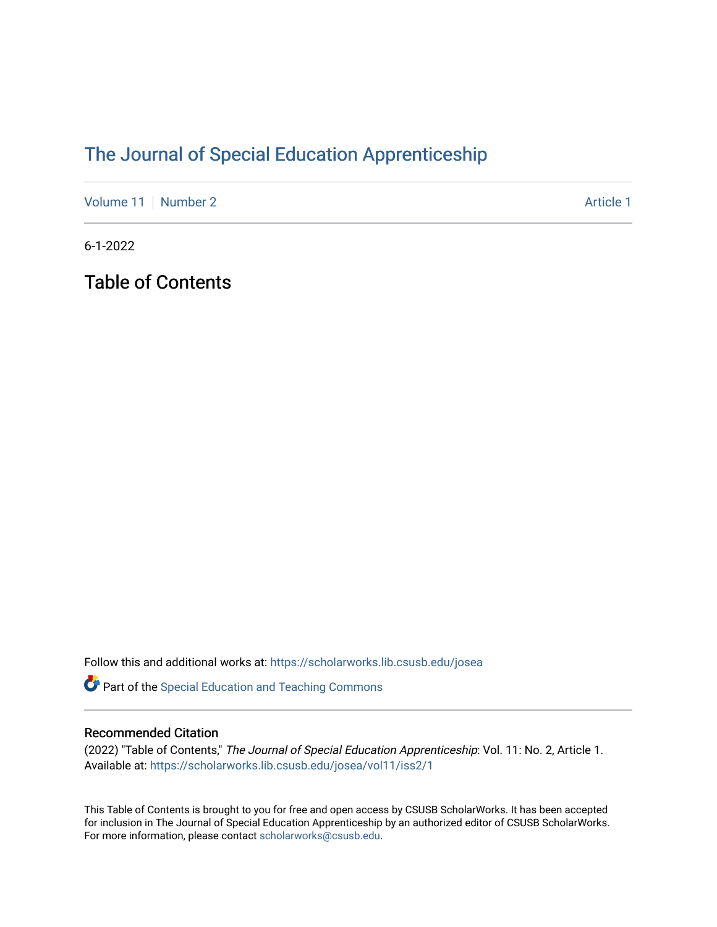## [The Journal of Special Education Apprenticeship](https://scholarworks.lib.csusb.edu/josea)

[Volume 11](https://scholarworks.lib.csusb.edu/josea/vol11) [Number 2](https://scholarworks.lib.csusb.edu/josea/vol11/iss2) Article 1

6-1-2022

Table of Contents

Follow this and additional works at: [https://scholarworks.lib.csusb.edu/josea](https://scholarworks.lib.csusb.edu/josea?utm_source=scholarworks.lib.csusb.edu%2Fjosea%2Fvol11%2Fiss2%2F1&utm_medium=PDF&utm_campaign=PDFCoverPages) 

Part of the [Special Education and Teaching Commons](https://network.bepress.com/hgg/discipline/801?utm_source=scholarworks.lib.csusb.edu%2Fjosea%2Fvol11%2Fiss2%2F1&utm_medium=PDF&utm_campaign=PDFCoverPages) 

## Recommended Citation

(2022) "Table of Contents," The Journal of Special Education Apprenticeship: Vol. 11: No. 2, Article 1. Available at: [https://scholarworks.lib.csusb.edu/josea/vol11/iss2/1](https://scholarworks.lib.csusb.edu/josea/vol11/iss2/1?utm_source=scholarworks.lib.csusb.edu%2Fjosea%2Fvol11%2Fiss2%2F1&utm_medium=PDF&utm_campaign=PDFCoverPages)

This Table of Contents is brought to you for free and open access by CSUSB ScholarWorks. It has been accepted for inclusion in The Journal of Special Education Apprenticeship by an authorized editor of CSUSB ScholarWorks. For more information, please contact [scholarworks@csusb.edu.](mailto:scholarworks@csusb.edu)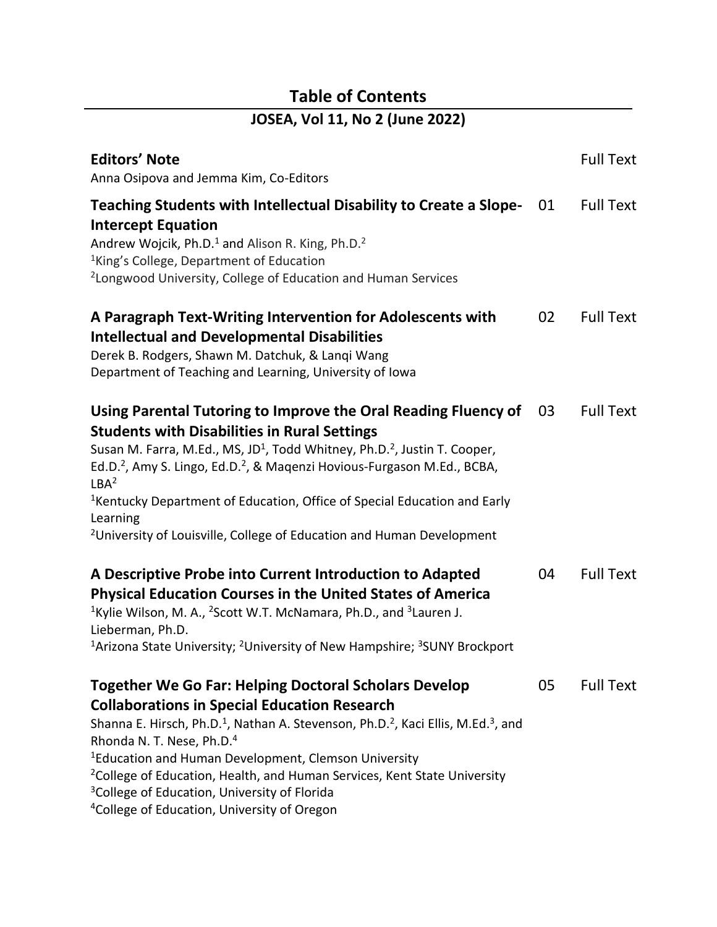## **Table of Contents**

| JOSEA, Vol 11, No 2 (June 2022)                                                                                                                                                                                                                                                                                                                                                                                                                                                                                                            |    |                  |
|--------------------------------------------------------------------------------------------------------------------------------------------------------------------------------------------------------------------------------------------------------------------------------------------------------------------------------------------------------------------------------------------------------------------------------------------------------------------------------------------------------------------------------------------|----|------------------|
| <b>Editors' Note</b><br>Anna Osipova and Jemma Kim, Co-Editors                                                                                                                                                                                                                                                                                                                                                                                                                                                                             |    | <b>Full Text</b> |
| Teaching Students with Intellectual Disability to Create a Slope-<br><b>Intercept Equation</b><br>Andrew Wojcik, Ph.D. <sup>1</sup> and Alison R. King, Ph.D. <sup>2</sup><br><sup>1</sup> King's College, Department of Education<br><sup>2</sup> Longwood University, College of Education and Human Services                                                                                                                                                                                                                            | 01 | <b>Full Text</b> |
| A Paragraph Text-Writing Intervention for Adolescents with<br><b>Intellectual and Developmental Disabilities</b><br>Derek B. Rodgers, Shawn M. Datchuk, & Langi Wang<br>Department of Teaching and Learning, University of Iowa                                                                                                                                                                                                                                                                                                            | 02 | <b>Full Text</b> |
| Using Parental Tutoring to Improve the Oral Reading Fluency of<br><b>Students with Disabilities in Rural Settings</b><br>Susan M. Farra, M.Ed., MS, JD <sup>1</sup> , Todd Whitney, Ph.D. <sup>2</sup> , Justin T. Cooper,<br>Ed.D. <sup>2</sup> , Amy S. Lingo, Ed.D. <sup>2</sup> , & Maqenzi Hovious-Furgason M.Ed., BCBA,<br>LBA <sup>2</sup><br><sup>1</sup> Kentucky Department of Education, Office of Special Education and Early<br>Learning<br><sup>2</sup> University of Louisville, College of Education and Human Development | 03 | <b>Full Text</b> |
| A Descriptive Probe into Current Introduction to Adapted<br><b>Physical Education Courses in the United States of America</b><br><sup>1</sup> Kylie Wilson, M. A., <sup>2</sup> Scott W.T. McNamara, Ph.D., and <sup>3</sup> Lauren J.<br>Lieberman, Ph.D.<br><sup>1</sup> Arizona State University; <sup>2</sup> University of New Hampshire; <sup>3</sup> SUNY Brockport                                                                                                                                                                 | 04 | <b>Full Text</b> |
| <b>Together We Go Far: Helping Doctoral Scholars Develop</b><br><b>Collaborations in Special Education Research</b><br>Shanna E. Hirsch, Ph.D. <sup>1</sup> , Nathan A. Stevenson, Ph.D. <sup>2</sup> , Kaci Ellis, M.Ed. <sup>3</sup> , and<br>Rhonda N. T. Nese, Ph.D. <sup>4</sup><br><sup>1</sup> Education and Human Development, Clemson University<br><sup>2</sup> College of Education, Health, and Human Services, Kent State University<br><sup>3</sup> College of Education, University of Florida                              | 05 | <b>Full Text</b> |

<sup>4</sup>College of Education, University of Oregon